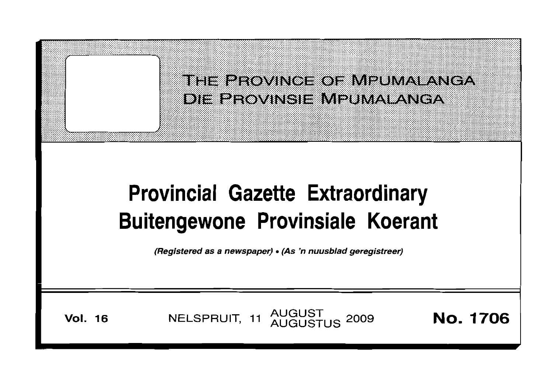

**Vol. <sup>16</sup> AUGUST NELSPRUIT, <sup>11</sup> AUGUSTUS <sup>2009</sup> No. 1706**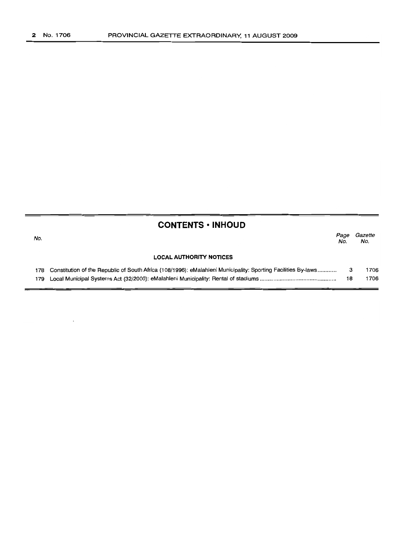| <b>CONTENTS · INHOUD</b> |                                                                                                               |             |                |  |  |  |  |  |
|--------------------------|---------------------------------------------------------------------------------------------------------------|-------------|----------------|--|--|--|--|--|
| No.                      |                                                                                                               | Page<br>No. | Gazette<br>No. |  |  |  |  |  |
|                          | <b>LOCAL AUTHORITY NOTICES</b>                                                                                |             |                |  |  |  |  |  |
| 178                      | Constitution of the Republic of South Africa (108/1996): eMalahleni Municipality: Sporting Facilities By-laws | з           | 1706           |  |  |  |  |  |
| 179                      |                                                                                                               | 18          | 1706           |  |  |  |  |  |
|                          |                                                                                                               |             |                |  |  |  |  |  |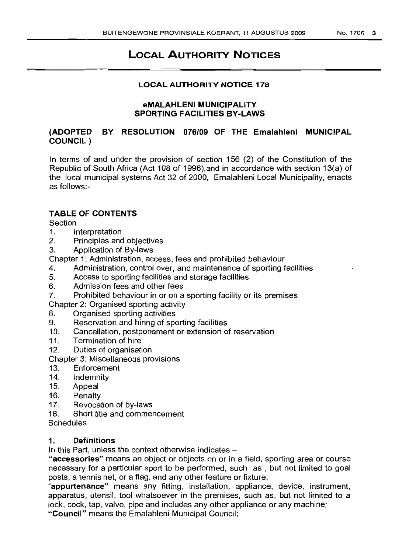# LOCAL AUTHORITY NOTICES

### LOCAL AUTHORITY NOTICE 178

### eMALAHLENI MUNICIPALITY SPORTING FACILITIES BY-LAWS

# (ADOPTED BY RESOLUTION 076/09 OF THE Emalahleni MUNICIPAL COUNCIL)

In terms of and under the provision of section 156 (2) of the Constitution of the Republic of South Africa (Act 108 of 1996),and in accordance with section 13(a) of the local municipal systems Act 32 of 2000, Emalahleni Local Municipality, enacts as follows:-

## TABLE OF CONTENTS

Section

- 1. Interpretation
- 2. Principles and objectives
- 3. Application of By-laws

Chapter 1: Administration, access, fees and prohibited behaviour

- 4. Administration, control over, and maintenance of sporting facilities
- 5. Access to sporting facilities and storage facilities
- 6. Admission fees and other fees
- 7. Prohibited behaviour in or on a sporting facility or its premises

Chapter 2: Organised sporting activity

- 8. Organised sporting activities
- 9. Reservation and hiring of sporting facilities
- 10. Cancellation, postponement or extension of reservation
- 11. Termination of hire
- 12. Duties of organisation
- Chapter 3: Miscellaneous provisions
- 13. Enforcement
- 14. Indemnity
- 15. Appeal
- 16. Penalty
- 17. Revocation of by-laws
- 18. Short title and commencement
- **Schedules**

### 1. Definitions

In this Part, unless the context otherwise indicates  $-$ 

"accessories" means an object or objects on or in a field, sporting area or course necessary for a particular sport to be performed, such as, but not limited to goal posts, a tennis net, or a flag, and any other feature or fixture;

"appurtenance" means any fitting, installation, appliance, device, instrument, apparatus, utensil, tool whatsoever in the premises, such as, but not limited to a lock, cock, tap, valve, pipe and includes any other appliance or any machine;

"Council" means the Emalahleni Municipal Council;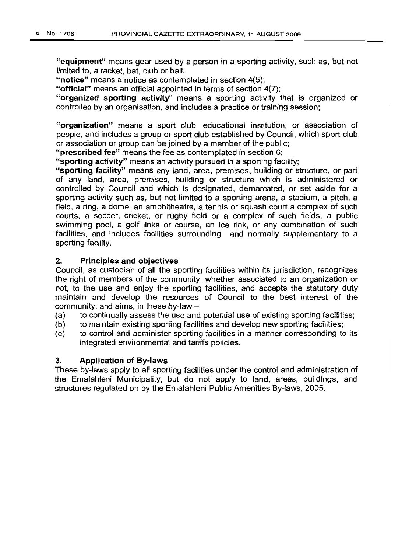"equipment" means gear used by a person in a sporting activity, such as, but not limited to, a racket, bat, club or ball;

"notice" means a notice as contemplated in section 4(5);

"official" means an official appointed in terms of section 4(7);

"organized sporting activity" means a sporting activity that is organized or controlled by an organisation, and includes a practice or training session;

"organization" means a sport club, educational institution, or association of people, and includes a group or sport club established by Council, which sport club or association or group can be joined by a member of the public;

"prescribed fee" means the fee as contemplated in section 6;

"sporting activity" means an activity pursued in a sporting facility;

"sporting facility" means any land, area, premises, building or structure, or part of any land, area, premises, building or structure which is administered or controlled by Council and which is designated, demarcated, or set aside for a sporting activity such as, but not limited to a sporting arena, a stadium, a pitch, a field, a ring, a dome, an amphitheatre, a tennis or squash court a complex of such courts, a soccer, cricket, or rugby field or a complex of such fields, a public swimming pool, a golf links or course, an ice rink, or any combination of such facilities, and includes facilities surrounding and normally supplementary to a sporting facility.

#### 2. Principles and objectives

Council, as custodian of all the sporting facilities within its jurisdiction, recognizes the right of members of the community, whether associated to an organization or not, to the use and enjoy the sporting facilities, and accepts the statutory duty maintain and develop the resources of Council to the best interest of the community, and aims, in these by-law  $-$ 

- (a) to continually assess the use and potential use of existing sporting facilities;
- (b) to maintain existing sporting facilities and develop new sporting facilities;
- (c) to control and administer sporting facilities in a manner corresponding to its integrated environmental and tariffs policies.

#### 3. Application of By-laws

These by-laws apply to all sporting facilities under the control and administration of the Emalahleni Municipality, but do not apply to land, areas, buildings, and structures regulated on by the Emalahleni Public Amenities By-laws, 2005.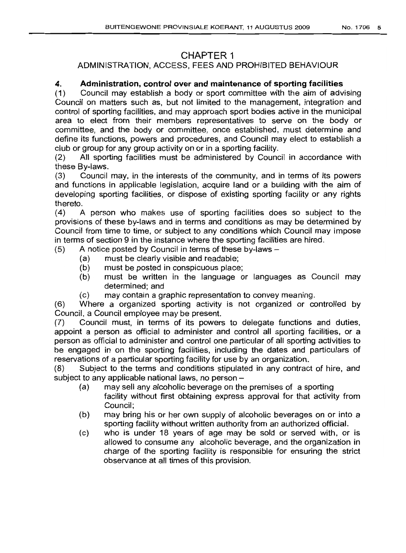# **CHAPTER** 1

# ADMINISTRATION, ACCESS, FEES AND PROHIBITED BEHAVIOUR

# **4. Administration, control over and maintenance of sporting facilities**

(1) Council may establish a body or sport committee with the aim of advising Council on matters such as, but not limited to the management, integration and control of sporting facilities, and may approach sport bodies active in the municipal area to elect from their members representatives to serve on the body or committee, and the body or committee, once established, must determine and define its functions, powers and procedures, and Council may elect to establish a club or group for any group activity on or in a sporting facility.

(2) All sporting facilities must be administered by Council in accordance with these By-laws.

(3) Council may, in the interests of the community, and in terms of its powers and functions in applicable legislation, acquire land or a building with the aim of developing sporting facilities, or dispose of existing sporting facility or any rights thereto.

(4) A person who makes use of sporting facilities does so subject to the provisions of these by-laws and in terms and conditions as may be determined by Council from time to time, or subject to any conditions which Council may impose in terms of section 9 in the instance where the sporting facilities are hired.

 $(5)$  A notice posted by Council in terms of these by-laws  $-$ 

- (a) must be clearly visible and readable;
- (b) must be posted in conspicuous place;
- (b) must be written in the language or languages as Council may determined; and
- (c) may contain a graphic representation to convey meaning.

(6) Where a organized sporting activity is not organized or controlled by Council, a Council employee may be present.

(7) Council must, in terms of its powers to delegate functions and duties, appoint a person as official to administer and control all sporting facilities, or a person as official to administer and control one particular of all sporting activities to be engaged in on the sporting facilities, including the dates and particulars of reservations of a particular sporting facility for use by an organization.

(8) Subject to the terms and conditions stipulated in any contract of hire, and subject to any applicable national laws, no person -

- (a) may sell any alcoholic beverage on the premises of a sporting facility without first obtaining express approval for that activity from Council;
- (b) may bring his or her own supply of alcoholic beverages on or into a sporting facility without written authority from an authorized official.
- (c) who is under 18 years of age may be sold or served with, or is allowed to consume any alcoholic beverage, and the organization in charge of the sporting facility is responsible for ensuring the strict observance at all times of this provision.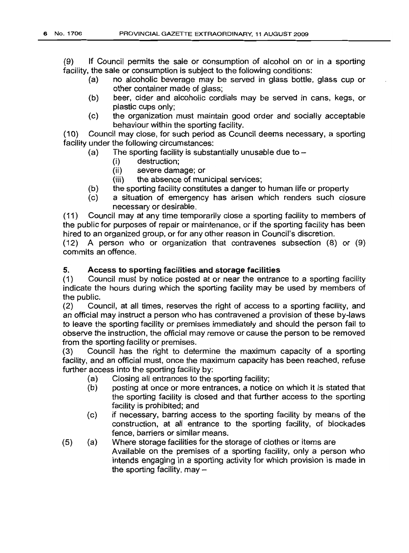(9) If Council permits the sale or consumption of alcohol on or in a sporting facility, the sale or consumption is subject to the following conditions:

- (a) no alcoholic beverage may be served in glass bottle, glass cup or other container made of glass;
- (b) beer, cider and alcoholic cordials may be served in cans, kegs, or plastic cups only;
- (c) the organization must maintain good order and socially acceptable behaviour within the sporting facility.

(10) Council may close, for such period as Council deems necessary, a sporting facility under the following circumstances:

- (a) The sporting facility is substantially unusable due to  $-$ 
	- (i) destruction;
	- (ii) severe damage; or
	- (iii) the absence of municipal services;
- (b) the sporting facility constitutes a danger to human life or property
- (c) a situation of emergency has arisen which renders such closure necessary or desirable.

(11) Council may at any time temporarily close a sporting facility to members of the public for purposes of repair or maintenance, or if the sporting facility has been hired to an organized group, or for any other reason in Council's discretion.

(12) A person who or organization that contravenes subsection (8) or (9) commits an offence.

### 5. Access to sporting facilities and storage facilities

(1) Council must by notice posted at or near the entrance to a sporting facility indicate the hours during which the sporting facility may be used by members of the public.

(2) Council, at all times, reserves the right of access to a sporting facility, and an official may instruct a person who has contravened a provision of these by-laws to leave the sporting facility or premises immediately and should the person fail to observe the instruction, the official may remove or cause the person to be removed from the sporting facility or premises.

(3) Council has the right to determine the maximum capacity of a sporting facility, and an official must, once the maximum capacity has been reached, refuse further access into the sporting facility by:

- (a) Closing all entrances to the sporting facility;
- (b) posting at once or more entrances, a notice on which it is stated that the sporting facility is closed and that further access to the sporting facility is prohibited; and
- (c) if necessary, barring access to the sporting facility by means of the construction, at all entrance to the sporting facility, of blockades fence, barriers or similar means.
- (5) (a) Where storage facilities for the storage of clothes or items are Available on the premises of a sporting facility, only a person who intends engaging in a sporting activity for which provision is made in the sporting facility, may  $-$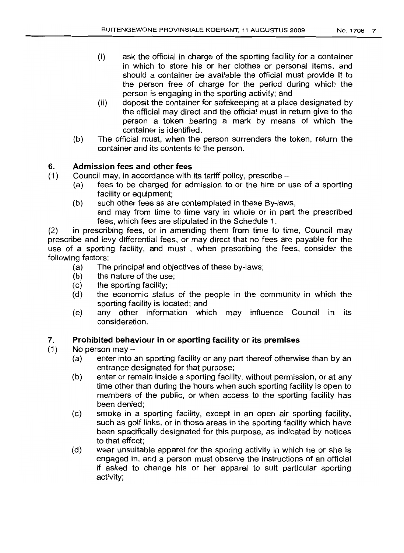- (i) ask the official in charge of the sporting facility for a container in which to store his or her clothes or personal items, and should a container be available the official must provide it to the person free of charge for the period during which the person is engaging in the sporting activity; and
- (ii) deposit the container for safekeeping at a place designated by the official may direct and the official must in return give to the person a token bearing a mark by means of which the container is identified.
- (b) The official must, when the person surrenders the token, return the container and its contents to the person.

# 6. **Admission fees and other fees**

- (1) Council may, in accordance with its tariff policy, prescribe-
	- (a) fees to be charged for admission to or the hire or use of a sporting facility or equipment;
	- (b) such other fees as are contemplated in these By-laws, and may from time to time vary in whole or in part the prescribed fees, which fees are stipulated in the Schedule 1.

(2) in prescribing fees, or in amending them from time to time, Council may prescribe and levy differential fees, or may direct that no fees are payable for the use of a sporting facility, and must , when prescribing the fees, consider the following factors:

- (a) The principal and objectives of these by-laws;
- (b) the nature of the use;
- (c) the sporting facility;
- (d) the economic status of the people in the community in which the sporting facility is located; and
- (e) any other information which may influence Council in its consideration.

## 7. **Prohibited behaviour in or sporting facility or its premises**

- $(1)$  No person may  $-$ 
	- (a) enter into an sporting facility or any part thereof otherwise than by an entrance designated for that purpose;
	- (b) enter or remain inside a sporting facility, without permission, or at any time other than during the hours when such sporting facility is open to members of the public, or when access to the sporting facility has been denied;
	- (c) smoke in a sporting facility, except in an open air sporting facility, such as golf links, or in those areas in the sporting facility which have been specifically designated for this purpose, as indicated by notices to that effect;
	- (d) wear unsuitable apparel for the sporing activity in which he or she is engaged in, and a person must observe the instructions of an official if asked to change his or her apparel to suit particular sporting activity;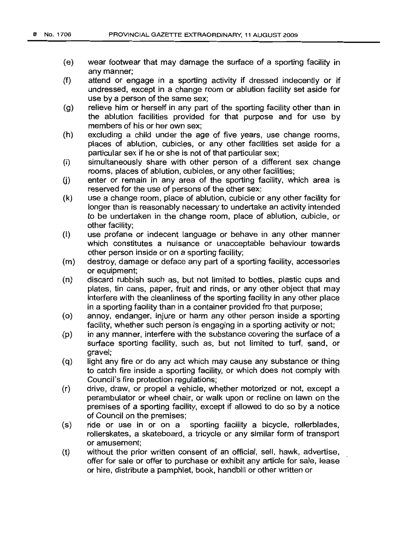- (e) wear footwear that may damage the surface of a sporting facility in any manner;
- (f) attend or engage in a sporting activity if dressed indecently or if undressed, except in a change room or ablution facility set aside for use by a person of the same sex;
- (g) relieve him or herself in any part of the sporting facility other than in the ablution facilities provided for that purpose and for use by members of his or her own sex;
- (h) excluding a child under the age of five years, use change rooms, places of ablution, cubicles, or any other facilities set aside for a particular sex if he or she is not of that particular sex;
- (i) simultaneously share with other person of a different sex change rooms, places of ablution, cubicles, or any other facilities;
- $(i)$  enter or remain in any area of the sporting facility, which area is reserved for the use of persons of the other sex;
- (k) use a change room, place of ablution, cubicle or any other facility for longer than is reasonably necessary to undertake an activity intended to be undertaken in the change room, place of ablution, cubicle, or other facility;
- (I) use profane or indecent language or behave in any other manner which constitutes a nuisance or unacceptable behaviour towards other person inside or on a sporting facility;
- (m) destroy, damage or deface any part of a sporting facility, accessories or equipment;
- (n) discard rubbish such as, but not limited to bottles, plastic cups and plates, tin cans, paper, fruit and rinds, or any other object that may interfere with the cleanliness of the sporting facility in any other place in a sporting facility than in a container provided fro that purpose;
- (0) annoy, endanger, injure or harm any other person inside a sporting facility, whether such person is engaging in a sporting activity or not;
- (p) in any manner, interfere with the substance covering the surface of a surface sporting facility, such as, but not limited to turf, sand, or gravel;
- (q) light any fire or do any act which may cause any substance or thing to catch fire inside a sporting facility, or which does not comply with Council's fire protection regulations;
- (r) drive, draw, or propel a vehicle, whether motorized or not, except a perambulator or wheel chair, or walk upon or recline on lawn on the premises of a sporting facility, except if allowed to do so by a notice of Council on the premises;
- (s) ride or use in or on a sporting facility a bicycle, rollerblades, rollerskates, a skateboard, a tricycle or any similar form of transport or amusement;
- (t) without the prior written consent of an official, sell, hawk, advertise, offer for sale or offer to purchase or exhibit any article for sale, lease or hire, distribute a pamphlet, book, handbill or other written or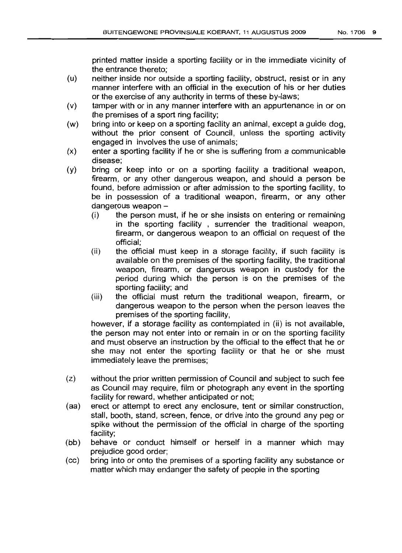printed matter inside a sporting facility or in the immediate vicinity of the entrance thereto;

- (u) neither inside nor outside a sporting facility, obstruct, resist or in any manner interfere with an official in the execution of his or her duties or the exercise of any authority in terms of these by-laws;
- (v) tamper with or in any manner interfere with an appurtenance in or on the premises of a sport ring facility;
- (w) bring into or keep on a sporting facility an animal, except a guide dog, without the prior consent of Council, unless the sporting activity engaged in involves the use of animals;
- (x) enter a sporting facility if he or she is suffering from a communicable disease;
- (y) bring or keep into or on a sporting facility a traditional weapon, firearm, or any other dangerous weapon, and should a person be found, before admission or after admission to the sporting facility, to be in possession of a traditional weapon, firearm, or any other dangerous weapon -
	- (i) the person must, if he or she insists on entering or remaining in the sporting facility , surrender the traditional weapon, firearm, or dangerous weapon to an official on request of the official;
	- (ii) the official must keep in a storage facility, if such facility is available on the premises of the sporting facility, the traditional weapon, firearm, or dangerous weapon in custody for the period during which the person is on the premises of the sporting facility; and
	- (iii) the official must return the traditional weapon, firearm, or dangerous weapon to the person when the person leaves the premises of the sporting facility,

however, if a storage facility as contemplated in (ii) is not available, the person may not enter into or remain in or on the sporting facility and must observe an instruction by the official to the effect that he or she may not enter the sporting facility or that he or she must immediately leave the premises;

- (z) without the prior written permission of Council and subject to such fee as Council may require, film or photograph any event in the sporting facility for reward, whether anticipated or not;
- (aa) erect or attempt to erect any enclosure, tent or similar construction, stall, booth, stand, screen, fence, or drive into the ground any peg or spike without the permission of the official in charge of the sporting facility;
- (bb) behave or conduct himself or herself in a manner which may prejudice good order;
- (cc) bring into or onto the premises of a sporting facility any substance or matter which may endanger the safety of people in the sporting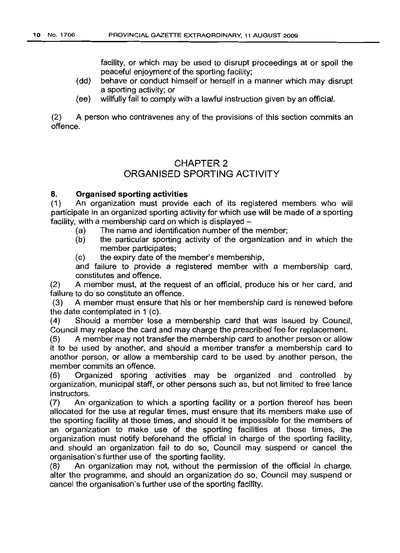facility, or which may be used to disrupt proceedings at or spoil the peaceful enjoyment of the sporting facility;

- (dd) behave or conduct himself or herself in a manner which may disrupt a sporting activity; or
- (ee) willfully fail to comply with a lawful instruction given by an official.

(2) A person who contravenes any of the provisions of this section commits an offence.

# CHAPTER 2 ORGANISED SPORTING ACTIVITY

### 8. Organised sporting activities

(1) An organization must provide each of its registered members who will participate in an organized sporting activity for which use will be made of a sporting facility, with a membership card on which is displayed  $-$ 

- (a) The name and identification number of the member;
- (b) the particular sporting activity of the organization and in which the member participates;
- (c) the expiry date of the member's membership,

and failure to provide a registered member with a membership card, constitutes and offence.

(2) A member must, at the request of an official, produce his or her card, and failure to do so constitute an offence.

(3) A member must ensure that his or her membership card is renewed before the date contemplated in 1 (c).

(4) Should a member lose a membership card that was issued by Council, Council may replace the card and may charge the prescribed fee for replacement.

(5) A member may not transfer the membership card to another person or allow it to be used by another, and should a member transfer a membership card to another person, or allow a membership card to be used by another person, the member commits an offence.

(6) Organized sporing activities may be organized and controlled by organization, municipal staff, or other persons such as, but not limited to free lance instructors.

(7) An organization to which a sporting facility or a portion thereof has been allocated for the use at regular times, must ensure that its members make use of the sporting facility at those times, and should it be impossible for the members of an organization to make use of the sporting facilities at those times, the organization must notify beforehand the official in charge of the sporting facility, and should an organization fail to do so, Council may suspend or cancel the organisation's further use of the sporting facility.

(8) An organization may not, without the permission of the official in charge, alter the programme, and should an organization do so, Council may suspend or cancel the organisation's further use of the sporting facility.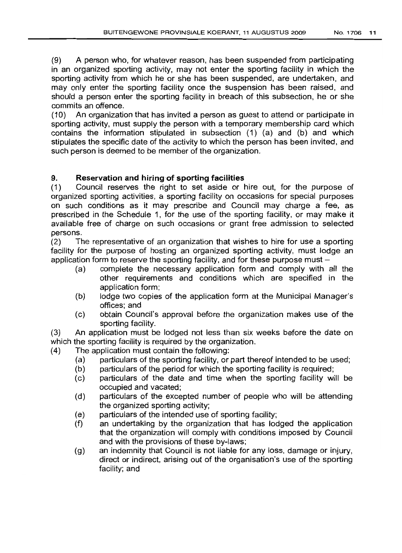(9) A person who, for whatever reason, has been suspended from participating in an organized sporting activity, may not enter the sporting facility in which the sporting activity from which he or she has been suspended, are undertaken, and may only enter the sporting facility once the suspension has been raised, and should a person enter the sporting facility in breach of this subsection, he or she commits an offence.

(10) An organization that has invited a person as guest to attend or participate in sporting activity, must supply the person with a temporary membership card which contains the information stipulated in subsection (1) (a) and (b) and which stipulates the specific date of the activity to which the person has been invited, and such person is deemed to be member of the organization.

## 9. **Reservation and** hiring of **sporting facilities**

(1) Council reserves the right to set aside or hire out, for the purpose of organized sporting activities, a sporting facility on occasions for special purposes on such conditions as it may prescribe and Council may charge a fee, as prescribed in the Schedule 1, for the use of the sporting facility, or may make it available free of charge on such occasions or grant free admission to selected persons.

(2) The representative of an organization that wishes to hire for use a sporting facility for the purpose of hosting an organized sporting activity, must lodge an application form to reserve the sporting facility, and for these purpose must  $-$ 

- (a) complete the necessary application form and comply with all the other requirements and conditions which are specified in the application form;
- (b) lodge two copies of the application form at the Municipal Manager's offices; and
- (c) obtain Council's approval before the organization makes use of the sporting facility.

(3) An application must be lodged not less than six weeks before the date on which the sporting facility is required by the organization.

- (4) The application must contain the following:
	- (a) particulars of the sporting facility, or part thereof intended to be used;
	- (b) particulars of the period for which the sporting facility is required;
	- (c) particulars of the date and time when the sporting facility will be occupied and vacated;
	- (d) particulars of the excepted number of people who will be attending the organized sporting activity;
	- (e) particulars of the intended use of sporting facility;
	- (f) an undertaking by the organization that has lodged the application that the organization will comply with conditions imposed by Council and with the provisions of these by-laws;
	- (g) an indemnity that Council is not liable for any loss, damage or injury, direct or indirect, arising out of the organisation's use of the sporting facility; and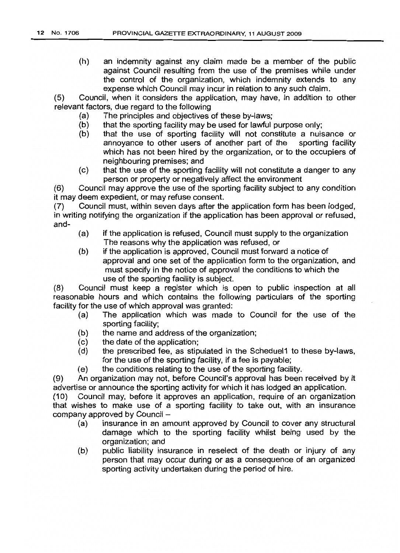(h) an indemnity against any claim made be a member of the public against Council resulting from the use of the premises while under the control of the organization, which indemnity extends to any expense which Council may incur in relation to any such claim.

(5) Council, when it considers the application, may have, in addition to other relevant factors, due regard to the following

- (a) The principles and objectives of these by-laws;
- (b) that the sporting facility may be used for lawful purpose only;
- (b) that the use of sporting facility will not constitute a nuisance or annoyance to other users of another part of the sporting facility which has not been hired by the organization, or to the occupiers of neighbouring premises; and
- (c) that the use of the sporting facility will not constitute a danger to any person or property or negatively affect the environment

(6) Council may approve the use of the sporting facility subject to any condition it may deem expedient, or may refuse consent.

(7) Council must, within seven days after the application form has been lodged, in writing notifying the organization if the application has been approval or refused, and-

- (a) if the application is refused, Council must supply to the organization The reasons why the application was refused, or
- (b) if the application is approved, Council must forward a notice of approval and one set of the application form to the organization, and must specify in the notice of approval the conditions to which the use of the sporting facility is subject.

(8) Council must keep a register which is open to public inspection at all reasonable hours and which contains the following particulars of the sporting facility for the use of which approval was granted:

- (a) The application which was made to Council for the use of the sporting facility;
- (b) the name and address of the organization;
- (c) the date of the application;
- (d) the prescribed fee, as stipulated in the Scheduel1 to these by-laws, for the use of the sporting facility, if a fee is payable;
- (e) the conditions relating to the use of the sporting facility.

(9) An organization may not, before Council's approval has been received by it advertise or announce the sporting activity for which it has lodged an application.

(10) Council may, before it approves an application, require of an organization that wishes to make use of a sporting facility to take out, with an insurance company approved by Council -

- (a) insurance in an amount approved by Council to cover any structural damage which to the sporting facility whilst being used by the organization; and
- (b) public liability insurance in reselect of the death or injury of any person that may occur during or as a consequence of an organized sporting activity undertaken during the period of hire.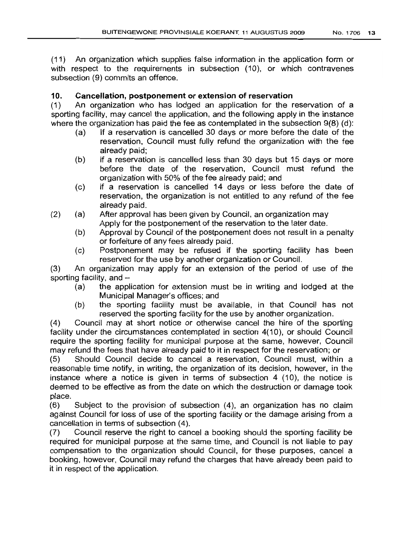(11) An organization which supplies false information in the application form or with respect to the requirements in subsection (10), or which contravenes subsection (9) commits an offence.

## 10. **Cancellation, postponement or extension of reservation**

(1) An organization who has lodged an application for the reservation of a sporting facility, may cancel the application, and the following apply in the instance where the organization has paid the fee as contemplated in the subsection 9(8) (d):

- (a) If a reservation is cancelled 30 days or more before the date of the reservation, Council must fully refund the organization with the fee already paid;
- (b) if a reservation is cancelled less than 30 days but 15 days or more before the date of the reservation, Council must refund the organization with 50% of the fee already paid; and
- (c) if a reservation is cancelled 14 days or less before the date of reservation, the organization is not entitled to any refund of the fee already paid.
- (2) (a) After approval has been given by Council, an organization may Apply for the postponement of the reservation to the later date.
	- (b) Approval by Council of the postponement does not result in a penalty or forfeiture of any fees already paid.
	- (c) Postponement may be refused if the sporting facility has been reserved for the use by another organization or Council.

(3) An organization may apply for an extension of the period of use of the sporting facility, and  $-$ 

- (a) the application for extension must be in writing and lodged at the Municipal Manager's offices; and
- (b) the sporting facility must be available, in that Council has not reserved the sporting facility for the use by another organization.

(4) Council may at short notice or otherwise cancel the hire of the sporting facility under the circumstances contemplated in section 4(10), or should Council require the sporting facility for municipal purpose at the same, however, Council may refund the fees that have already paid to it in respect for the reservation; or

(5) Should Council decide to cancel a reservation, Council must, within a reasonable time notify, in writing, the organization of its decision, however, in the instance where a notice is given in terms of subsection 4 (10), the notice is deemed to be effective as from the date on which the destruction or damage took place.

(6) Subject to the provision of subsection (4), an organization has no claim against Council for loss of use of the sporting facility or the damage arising from a cancellation in terms of subsection (4).

(7) Council reserve the right to cancel a booking should the sporting facility be required for municipal purpose at the same time, and Council is not liable to pay compensation to the organization should Council, for these purposes, cancel a booking, however, Council may refund the charges that have already been paid to it in respect of the application.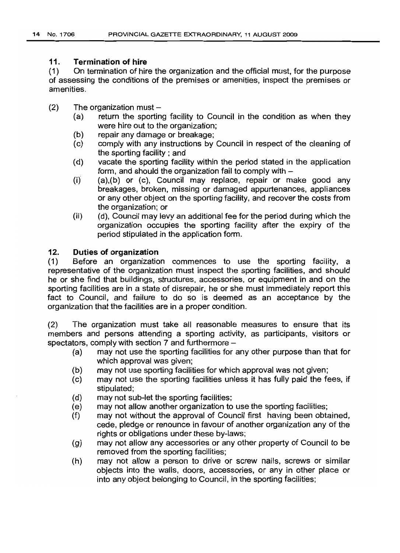### 11. **Termination of hire**

(1) On termination of hire the organization and the official must, for the purpose of assessing the conditions of the premises or amenities, inspect the premises or amenities.

- $(2)$  The organization must -
	- (a) return the sporting facility to Council in the condition as when they were hire out to the organization;
	- (b) repair any damage or breakage;
	- (c) comply with any instructions by Council in respect of the cleaning of the sporting facility; and
	- (d) vacate the sporting facility within the period stated in the application form, and should the organization fail to comply with-
	- $(i)$   $(a)$ , $(b)$  or  $(c)$ , Council may replace, repair or make good any breakages, broken, missing or damaged appurtenances, appliances or any other object on the sporting facility, and recover the costs from the organization; or
	- (ii) (d), Council may levy an additional fee for the period during which the organization occupies the sporting facility after the expiry of the period stipulated in the application form.

## 12. **Duties of organization**

(1) Before an organization commences to use the sporting facility, a representative of the organization must inspect the sporting facilities, and should he or she find that buildings, structures, accessories, or equipment in and on the sporting facilities are in a state of disrepair, he or she must immediately report this fact to Council, and failure to do so is deemed as an acceptance by the organization that the facilities are in a proper condition.

(2) The organization must take all reasonable measures to ensure that its members and persons attending a sporting activity, as participants, visitors or spectators, comply with section 7 and furthermore -

- (a) may not use the sporting facilities for any other purpose than that for which approval was given;
- (b) may not use sporting facilities for which approval was not given;
- (c) may not use the sporting facilities unless it has fully paid the fees, if stipulated;
- (d) may not sub-let the sporting facilities;
- (e) may not allow another organization to use the sporting facilities;
- (f) may not without the approval of Council first having been obtained, cede, pledge or renounce in favour of another organization any of the rights or obligations under these by-laws;
- (g) may not allow any accessories or any other property of Council to be removed from the sporting facilities;
- (h) may not allow a person to drive or screw nails, screws or similar objects into the walls, doors, accessories, or any in other place or into any object belonging to Council, in the sporting facilities;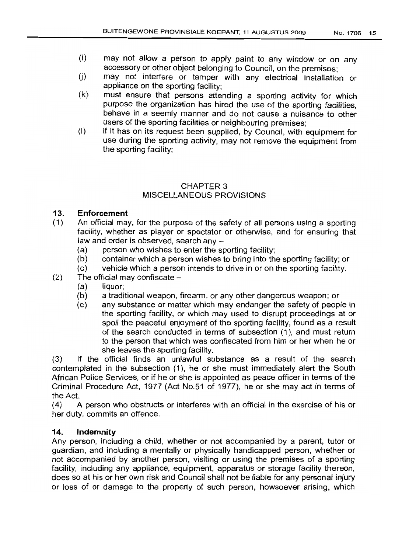- (i) may not allow a person to apply paint to any window or on any accessory or other object belonging to Council, on the premises;
- (i) may not interfere or tamper with any electrical installation or appliance on the sporting facility;
- (k) must ensure that persons attending a sporting activity for which purpose the organization has hired the use of the sporting facilities, behave in a seemly manner and do not cause a nuisance to other users of the sporting facilities or neighbouring premises;
- (I) if it has on its request been supplied, by Council, with equipment for use during the sporting activity, may not remove the equipment from the sporting facility;

# CHAPTER 3 MISCELLANEOUS PROVISIONS

## 13. **Enforcement**

- (1) An official may, for the purpose of the safety of all persons using a sporting facility, whether as player or spectator or otherwise, and for ensuring that law and order is observed, search any -
	- (a) person who wishes to enter the sporting facility;
	- (b) container which a person wishes to bring into the sporting facility; or
	- (c) vehicle which a person intends to drive in or on the sporting facility.
- $(2)$  The official may confiscate  $-$ 
	- (a) liquor;
	- (b) a traditional weapon, firearm, or any other dangerous weapon; or
	- (c) any substance or matter which may endanger the safety of people in the sporting facility, or which may used to disrupt proceedings at or spoil the peaceful enjoyment of the sporting facility, found as a result of the search conducted in terms of subsection (1), and must return to the person that which was confiscated from him or her when he or she leaves the sporting facility.

(3) If the official finds an unlawful substance as a result of the search contemplated in the subsection (1), he or she must immediately alert the South African Police Services, or if he or she is appointed as peace officer in terms of the Criminal Procedure Act, 1977 (Act No.51 of 1977), he or she may act in terms of the Act.

(4) A person who obstructs or interferes with an official in the exercise of his or her duty, commits an offence.

#### **14. Indemnity**

Any person, including a child, whether or not accompanied by a parent, tutor or guardian, and including a mentally or physically handicapped person, whether or not accompanied by another person, visiting or using the premises of a sporting facility, including any appliance, equipment, apparatus or storage facility thereon, does so at his or her own risk and Council shall not be liable for any personal injury or loss of or damage to the property of such person, howsoever arising, which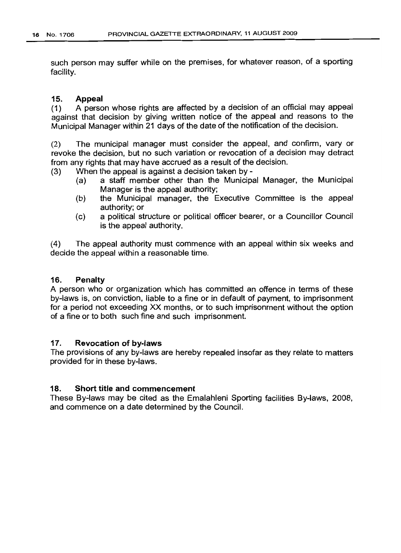such person may suffer while on the premises, for whatever reason, of a sporting facility.

#### 15. Appeal

(1) A person whose rights are affected by a decision of an official may appeal against that decision by giving written notice of the appeal and reasons to the Municipal Manager within 21 days of the date of the notification of the decision.

(2) The municipal manager must consider the appeal, and confirm, vary or revoke the decision, but no such variation or revocation of a decision may detract from any rights that may have accrued as a result of the decision.

(3) When the appeal is against a decision taken by-

- (a) a staff member other than the Municipal Manager, the Municipal Manager is the appeal authority;
- (b) the Municipal manager, the Executive Committee is the appeal authority; or
- (c) a political structure or political officer bearer, or a Councillor Council is the appeal authority.

(4) The appeal authority must commence with an appeal within six weeks and decide the appeal within a reasonable time.

#### 16. Penalty

A person who or organization which has committed an offence in terms of these by-laws is, on conviction, liable to a fine or in default of payment, to imprisonment for a period not exceeding XX months, or to such imprisonment without the option of a fine or to both such fine and such imprisonment.

#### 17. Revocation of by-laws

The provisions of any by-laws are hereby repealed insofar as they relate to matters provided for in these by-laws.

## 18. Short title and commencement

These By-laws may be cited as the Emalahleni Sporting facilities By-laws, 2008, and commence on a date determined by the Council.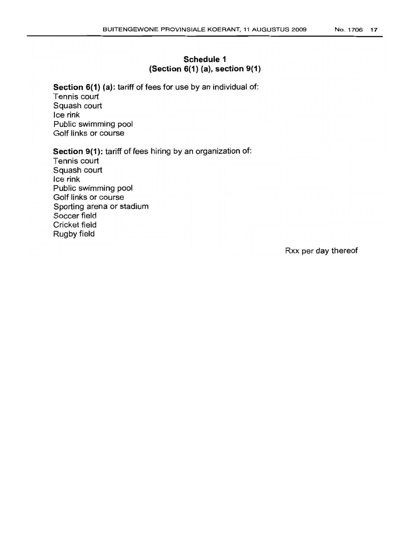# Schedule 1 (Section 6(1) (a), section 9(1)

Section 6(1) (a): tariff of fees for use by an individual of: Tennis court Squash court Ice rink Public swimming pool Golf links or course

### Section 9(1): tariff of fees hiring by an organization of:

Tennis court Squash court Ice rink Public swimming pool Golf links or course Sporting arena or stadium Soccer field Cricket field Rugby field

Rxx per day thereof